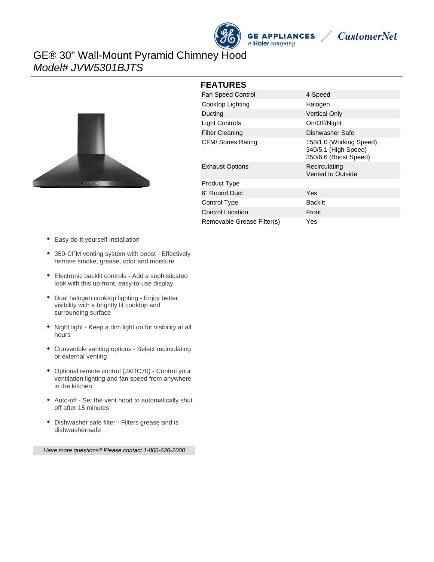





## GE® 30" Wall-Mount Pyramid Chimney Hood Model# JVW5301BJTS



| <b>FEATURES</b> |  |
|-----------------|--|
|-----------------|--|

| <b>Fan Speed Control</b>   | 4-Speed                                                                  |
|----------------------------|--------------------------------------------------------------------------|
| Cooktop Lighting           | Halogen                                                                  |
| Ducting                    | <b>Vertical Only</b>                                                     |
| Light Controls             | On/Off/Night                                                             |
| <b>Filter Cleaning</b>     | Dishwasher Safe                                                          |
| CFM/ Sones Rating          | 150/1.0 (Working Speed)<br>340/5.1 (High Speed)<br>350/6.6 (Boost Speed) |
| <b>Exhaust Options</b>     | Recirculating<br>Vented to Outside                                       |
| Product Type               |                                                                          |
| 6" Round Duct              | Yes                                                                      |
| Control Type               | <b>Backlit</b>                                                           |
| <b>Control Location</b>    | Front                                                                    |
| Removable Grease Filter(s) | Yes                                                                      |

- Easy do-it-yourself Installation
- 350-CFM venting system with boost Effectively remove smoke, grease, odor and moisture
- Electronic backlit controls Add a sophisticated look with this up-front, easy-to-use display
- Dual halogen cooktop lighting Enjoy better visibility with a brightly lit cooktop and surrounding surface
- Night light Keep a dim light on for visibility at all hours
- Convertible venting options Select recirculating or external venting
- Optional remote control (JXRC70) Control your ventilation lighting and fan speed from anywhere in the kitchen
- Auto-off Set the vent hood to automatically shut off after 15 minutes
- Dishwasher safe filter Filters grease and is dishwasher-safe

Have more questions? Please contact 1-800-626-2000